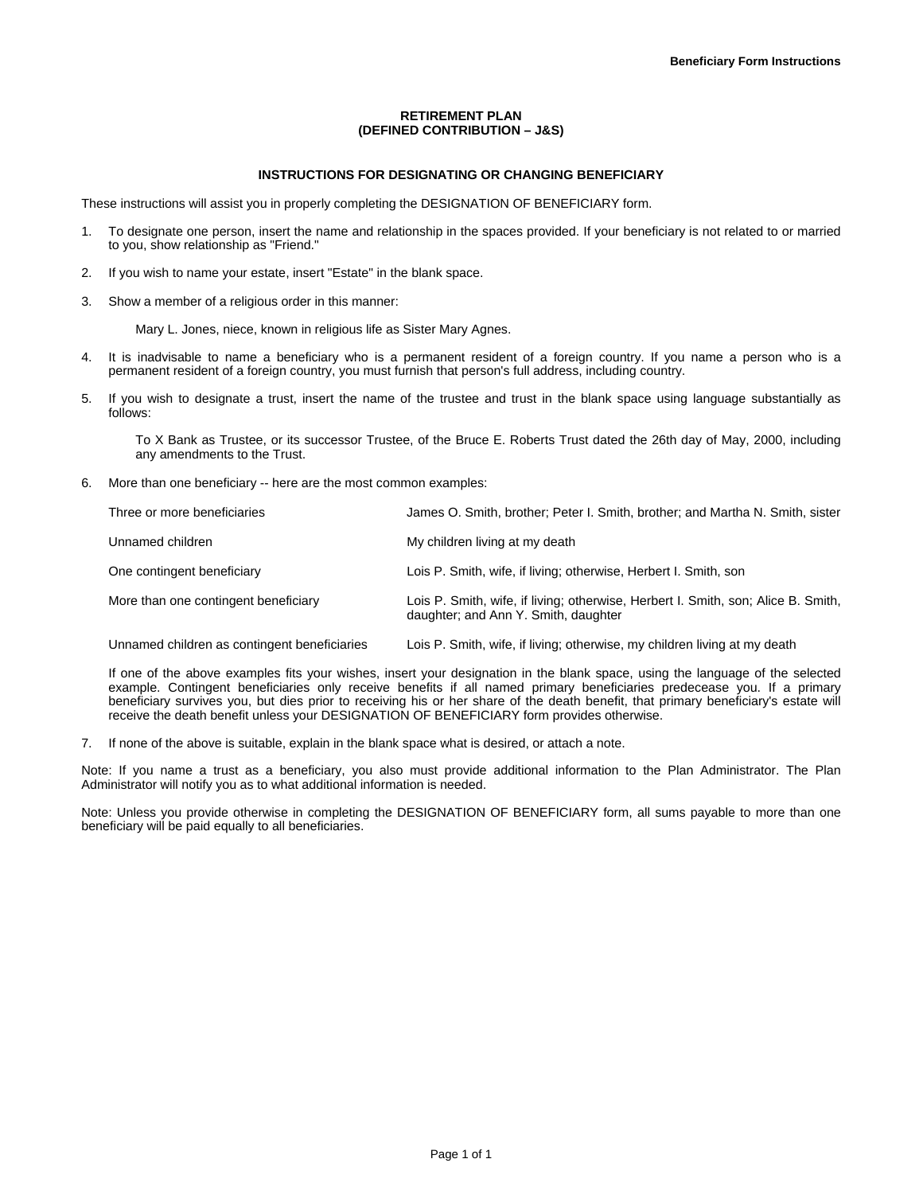# **RETIREMENT PLAN (DEFINED CONTRIBUTION – J&S)**

## **INSTRUCTIONS FOR DESIGNATING OR CHANGING BENEFICIARY**

These instructions will assist you in properly completing the DESIGNATION OF BENEFICIARY form.

- 1. To designate one person, insert the name and relationship in the spaces provided. If your beneficiary is not related to or married to you, show relationship as "Friend."
- 2. If you wish to name your estate, insert "Estate" in the blank space.
- 3. Show a member of a religious order in this manner:

Mary L. Jones, niece, known in religious life as Sister Mary Agnes.

- 4. It is inadvisable to name a beneficiary who is a permanent resident of a foreign country. If you name a person who is a permanent resident of a foreign country, you must furnish that person's full address, including country.
- 5. If you wish to designate a trust, insert the name of the trustee and trust in the blank space using language substantially as follows:

To X Bank as Trustee, or its successor Trustee, of the Bruce E. Roberts Trust dated the 26th day of May, 2000, including any amendments to the Trust.

6. More than one beneficiary -- here are the most common examples:

| Three or more beneficiaries          | James O. Smith, brother: Peter I. Smith, brother: and Martha N. Smith, sister                                             |
|--------------------------------------|---------------------------------------------------------------------------------------------------------------------------|
| Unnamed children                     | My children living at my death                                                                                            |
| One contingent beneficiary           | Lois P. Smith, wife, if living; otherwise, Herbert I. Smith, son                                                          |
| More than one contingent beneficiary | Lois P. Smith, wife, if living; otherwise, Herbert I. Smith, son; Alice B. Smith,<br>daughter; and Ann Y. Smith, daughter |

Unnamed children as contingent beneficiaries Lois P. Smith, wife, if living; otherwise, my children living at my death

If one of the above examples fits your wishes, insert your designation in the blank space, using the language of the selected example. Contingent beneficiaries only receive benefits if all named primary beneficiaries predecease you. If a primary beneficiary survives you, but dies prior to receiving his or her share of the death benefit, that primary beneficiary's estate will receive the death benefit unless your DESIGNATION OF BENEFICIARY form provides otherwise.

7. If none of the above is suitable, explain in the blank space what is desired, or attach a note.

Note: If you name a trust as a beneficiary, you also must provide additional information to the Plan Administrator. The Plan Administrator will notify you as to what additional information is needed.

Note: Unless you provide otherwise in completing the DESIGNATION OF BENEFICIARY form, all sums payable to more than one beneficiary will be paid equally to all beneficiaries.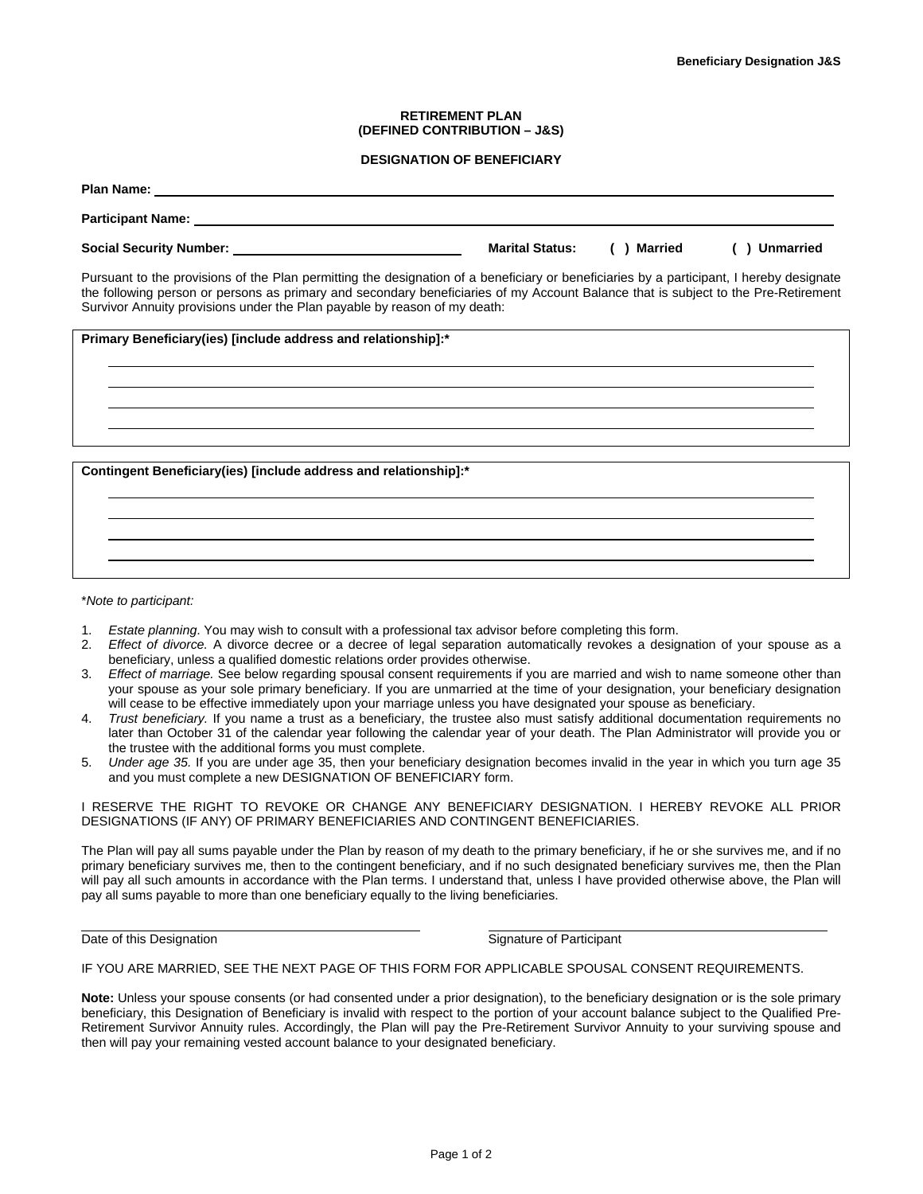### **RETIREMENT PLAN (DEFINED CONTRIBUTION – J&S)**

### **DESIGNATION OF BENEFICIARY**

| <b>Plan Name:</b>                                                                                                                        |                        |         |                  |
|------------------------------------------------------------------------------------------------------------------------------------------|------------------------|---------|------------------|
| <b>Participant Name:</b>                                                                                                                 |                        |         |                  |
| <b>Social Security Number:</b>                                                                                                           | <b>Marital Status:</b> | Married | <b>Unmarried</b> |
| Pursuant to the provisions of the Plan permitting the designation of a beneficiary or beneficiaries by a participant, I hereby designate |                        |         |                  |

the following person or persons as primary and secondary beneficiaries of my Account Balance that is subject to the Pre-Retirement Survivor Annuity provisions under the Plan payable by reason of my death:

|  | <b>Primary Beneficiary(ies) [include address and relationship]:*</b> |
|--|----------------------------------------------------------------------|
|--|----------------------------------------------------------------------|

**Contingent Beneficiary(ies) [include address and relationship]:\*** 

#### \**Note to participant:*

- 1. *Estate planning*. You may wish to consult with a professional tax advisor before completing this form.
- 2. *Effect of divorce.* A divorce decree or a decree of legal separation automatically revokes a designation of your spouse as a beneficiary, unless a qualified domestic relations order provides otherwise.
- 3. *Effect of marriage.* See below regarding spousal consent requirements if you are married and wish to name someone other than your spouse as your sole primary beneficiary. If you are unmarried at the time of your designation, your beneficiary designation will cease to be effective immediately upon your marriage unless you have designated your spouse as beneficiary.
- 4. *Trust beneficiary.* If you name a trust as a beneficiary, the trustee also must satisfy additional documentation requirements no later than October 31 of the calendar year following the calendar year of your death. The Plan Administrator will provide you or the trustee with the additional forms you must complete.
- 5. *Under age 35.* If you are under age 35, then your beneficiary designation becomes invalid in the year in which you turn age 35 and you must complete a new DESIGNATION OF BENEFICIARY form.

I RESERVE THE RIGHT TO REVOKE OR CHANGE ANY BENEFICIARY DESIGNATION. I HEREBY REVOKE ALL PRIOR DESIGNATIONS (IF ANY) OF PRIMARY BENEFICIARIES AND CONTINGENT BENEFICIARIES.

The Plan will pay all sums payable under the Plan by reason of my death to the primary beneficiary, if he or she survives me, and if no primary beneficiary survives me, then to the contingent beneficiary, and if no such designated beneficiary survives me, then the Plan will pay all such amounts in accordance with the Plan terms. I understand that, unless I have provided otherwise above, the Plan will pay all sums payable to more than one beneficiary equally to the living beneficiaries.

l

Date of this Designation **Signature of Participant** 

IF YOU ARE MARRIED, SEE THE NEXT PAGE OF THIS FORM FOR APPLICABLE SPOUSAL CONSENT REQUIREMENTS.

**Note:** Unless your spouse consents (or had consented under a prior designation), to the beneficiary designation or is the sole primary beneficiary, this Designation of Beneficiary is invalid with respect to the portion of your account balance subject to the Qualified Pre-Retirement Survivor Annuity rules. Accordingly, the Plan will pay the Pre-Retirement Survivor Annuity to your surviving spouse and then will pay your remaining vested account balance to your designated beneficiary.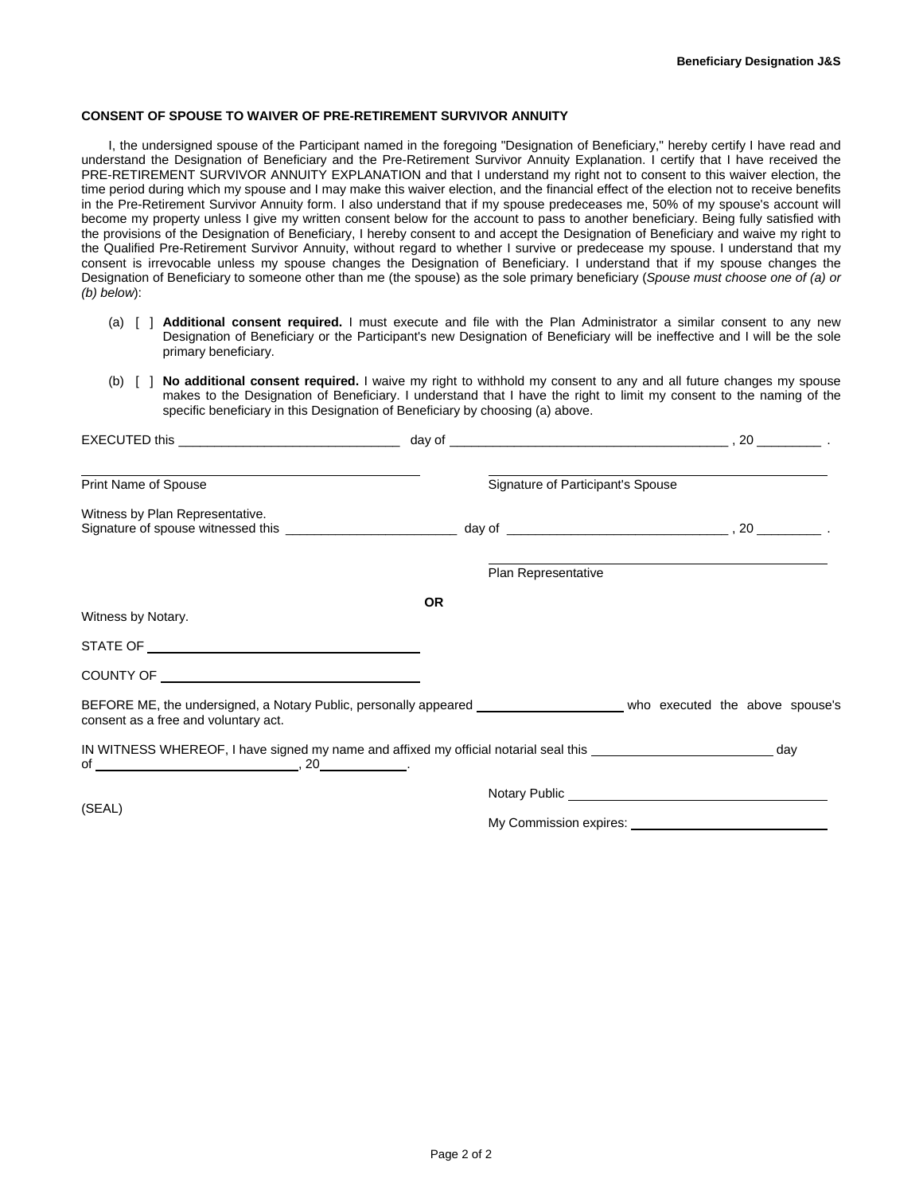### **CONSENT OF SPOUSE TO WAIVER OF PRE-RETIREMENT SURVIVOR ANNUITY**

I, the undersigned spouse of the Participant named in the foregoing "Designation of Beneficiary," hereby certify I have read and understand the Designation of Beneficiary and the Pre-Retirement Survivor Annuity Explanation. I certify that I have received the PRE-RETIREMENT SURVIVOR ANNUITY EXPLANATION and that I understand my right not to consent to this waiver election, the time period during which my spouse and I may make this waiver election, and the financial effect of the election not to receive benefits in the Pre-Retirement Survivor Annuity form. I also understand that if my spouse predeceases me, 50% of my spouse's account will become my property unless I give my written consent below for the account to pass to another beneficiary. Being fully satisfied with the provisions of the Designation of Beneficiary, I hereby consent to and accept the Designation of Beneficiary and waive my right to the Qualified Pre-Retirement Survivor Annuity, without regard to whether I survive or predecease my spouse. I understand that my consent is irrevocable unless my spouse changes the Designation of Beneficiary. I understand that if my spouse changes the Designation of Beneficiary to someone other than me (the spouse) as the sole primary beneficiary (*Spouse must choose one of (a) or (b) below*):

- (a) [ ] **Additional consent required.** I must execute and file with the Plan Administrator a similar consent to any new Designation of Beneficiary or the Participant's new Designation of Beneficiary will be ineffective and I will be the sole primary beneficiary.
- (b) [ ] **No additional consent required.** I waive my right to withhold my consent to any and all future changes my spouse makes to the Designation of Beneficiary. I understand that I have the right to limit my consent to the naming of the specific beneficiary in this Designation of Beneficiary by choosing (a) above.

| Print Name of Spouse                                                                                                                                                |           |                        | Signature of Participant's Spouse |  |
|---------------------------------------------------------------------------------------------------------------------------------------------------------------------|-----------|------------------------|-----------------------------------|--|
| Witness by Plan Representative.                                                                                                                                     |           |                        |                                   |  |
|                                                                                                                                                                     |           | Plan Representative    |                                   |  |
| Witness by Notary.                                                                                                                                                  | <b>OR</b> |                        |                                   |  |
|                                                                                                                                                                     |           |                        |                                   |  |
|                                                                                                                                                                     |           |                        |                                   |  |
| BEFORE ME, the undersigned, a Notary Public, personally appeared __________________________ who executed the above spouse's<br>consent as a free and voluntary act. |           |                        |                                   |  |
|                                                                                                                                                                     |           |                        |                                   |  |
|                                                                                                                                                                     |           |                        |                                   |  |
| (SEAL)                                                                                                                                                              |           | My Commission expires: |                                   |  |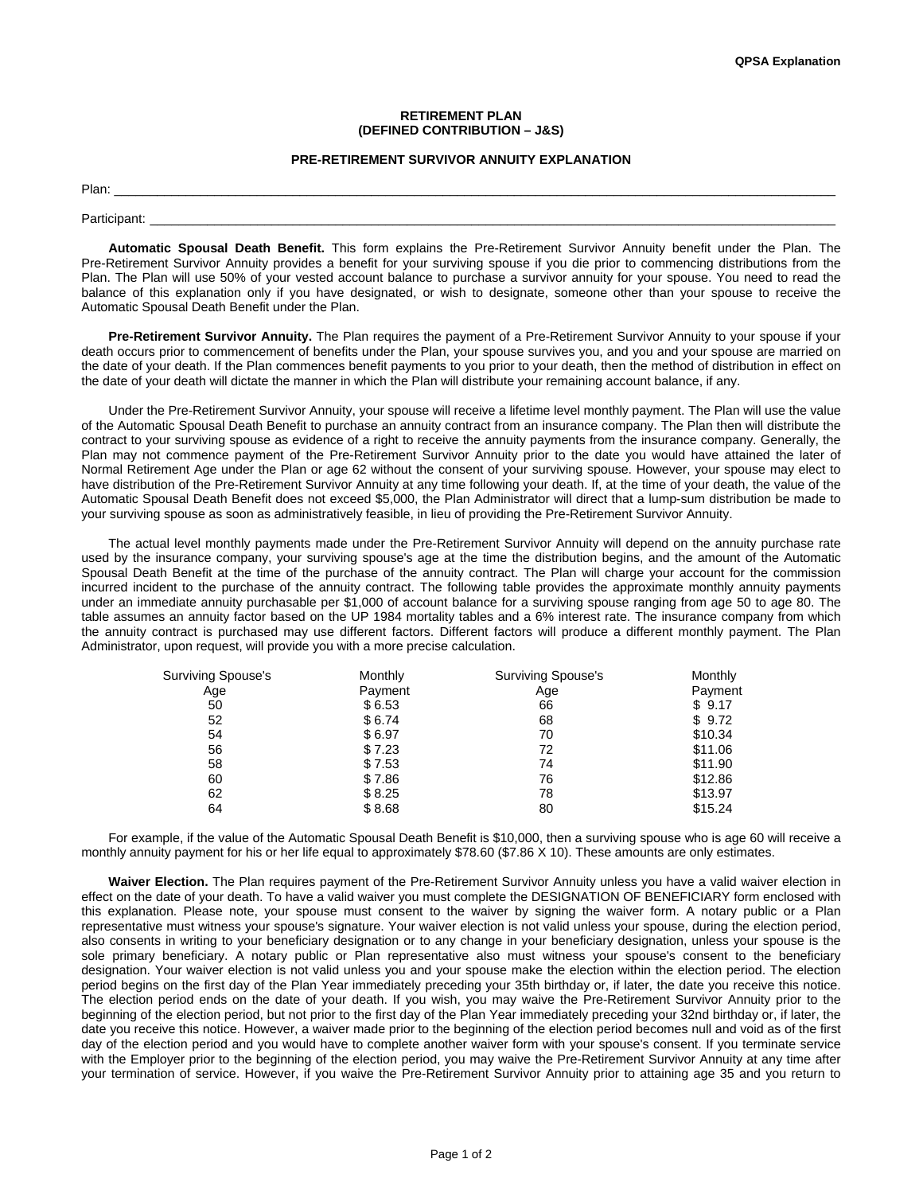### **RETIREMENT PLAN (DEFINED CONTRIBUTION – J&S)**

## **PRE-RETIREMENT SURVIVOR ANNUITY EXPLANATION**

Plan: \_\_\_\_\_\_\_\_\_\_\_\_\_\_\_\_\_\_\_\_\_\_\_\_\_\_\_\_\_\_\_\_\_\_\_\_\_\_\_\_\_\_\_\_\_\_\_\_\_\_\_\_\_\_\_\_\_\_\_\_\_\_\_\_\_\_\_\_\_\_\_\_\_\_\_\_\_\_\_\_\_\_\_\_\_\_\_\_\_\_\_\_\_\_\_\_\_\_\_\_\_

Participant: \_\_\_\_\_\_\_\_\_\_\_\_\_\_\_\_\_\_\_\_\_\_\_\_\_\_\_\_\_\_\_\_\_\_\_\_\_\_\_\_\_\_\_\_\_\_\_\_\_\_\_\_\_\_\_\_\_\_\_\_\_\_\_\_\_\_\_\_\_\_\_\_\_\_\_\_\_\_\_\_\_\_\_\_\_\_\_\_\_\_\_\_\_\_\_\_

**Automatic Spousal Death Benefit.** This form explains the Pre-Retirement Survivor Annuity benefit under the Plan. The Pre-Retirement Survivor Annuity provides a benefit for your surviving spouse if you die prior to commencing distributions from the Plan. The Plan will use 50% of your vested account balance to purchase a survivor annuity for your spouse. You need to read the balance of this explanation only if you have designated, or wish to designate, someone other than your spouse to receive the Automatic Spousal Death Benefit under the Plan.

**Pre-Retirement Survivor Annuity.** The Plan requires the payment of a Pre-Retirement Survivor Annuity to your spouse if your death occurs prior to commencement of benefits under the Plan, your spouse survives you, and you and your spouse are married on the date of your death. If the Plan commences benefit payments to you prior to your death, then the method of distribution in effect on the date of your death will dictate the manner in which the Plan will distribute your remaining account balance, if any.

Under the Pre-Retirement Survivor Annuity, your spouse will receive a lifetime level monthly payment. The Plan will use the value of the Automatic Spousal Death Benefit to purchase an annuity contract from an insurance company. The Plan then will distribute the contract to your surviving spouse as evidence of a right to receive the annuity payments from the insurance company. Generally, the Plan may not commence payment of the Pre-Retirement Survivor Annuity prior to the date you would have attained the later of Normal Retirement Age under the Plan or age 62 without the consent of your surviving spouse. However, your spouse may elect to have distribution of the Pre-Retirement Survivor Annuity at any time following your death. If, at the time of your death, the value of the Automatic Spousal Death Benefit does not exceed \$5,000, the Plan Administrator will direct that a lump-sum distribution be made to your surviving spouse as soon as administratively feasible, in lieu of providing the Pre-Retirement Survivor Annuity.

The actual level monthly payments made under the Pre-Retirement Survivor Annuity will depend on the annuity purchase rate used by the insurance company, your surviving spouse's age at the time the distribution begins, and the amount of the Automatic Spousal Death Benefit at the time of the purchase of the annuity contract. The Plan will charge your account for the commission incurred incident to the purchase of the annuity contract. The following table provides the approximate monthly annuity payments under an immediate annuity purchasable per \$1,000 of account balance for a surviving spouse ranging from age 50 to age 80. The table assumes an annuity factor based on the UP 1984 mortality tables and a 6% interest rate. The insurance company from which the annuity contract is purchased may use different factors. Different factors will produce a different monthly payment. The Plan Administrator, upon request, will provide you with a more precise calculation.

| <b>Surviving Spouse's</b> | Monthly | <b>Surviving Spouse's</b> | Monthly |
|---------------------------|---------|---------------------------|---------|
| Age                       | Payment | Age                       | Payment |
| 50                        | \$6.53  | 66                        | \$9.17  |
| 52                        | \$6.74  | 68                        | \$9.72  |
| 54                        | \$6.97  | 70                        | \$10.34 |
| 56                        | \$7.23  | 72                        | \$11.06 |
| 58                        | \$7.53  | 74                        | \$11.90 |
| 60                        | \$7.86  | 76                        | \$12.86 |
| 62                        | \$8.25  | 78                        | \$13.97 |
| 64                        | \$8.68  | 80                        | \$15.24 |

For example, if the value of the Automatic Spousal Death Benefit is \$10,000, then a surviving spouse who is age 60 will receive a monthly annuity payment for his or her life equal to approximately \$78.60 (\$7.86 X 10). These amounts are only estimates.

**Waiver Election.** The Plan requires payment of the Pre-Retirement Survivor Annuity unless you have a valid waiver election in effect on the date of your death. To have a valid waiver you must complete the DESIGNATION OF BENEFICIARY form enclosed with this explanation. Please note, your spouse must consent to the waiver by signing the waiver form. A notary public or a Plan representative must witness your spouse's signature. Your waiver election is not valid unless your spouse, during the election period, also consents in writing to your beneficiary designation or to any change in your beneficiary designation, unless your spouse is the sole primary beneficiary. A notary public or Plan representative also must witness your spouse's consent to the beneficiary designation. Your waiver election is not valid unless you and your spouse make the election within the election period. The election period begins on the first day of the Plan Year immediately preceding your 35th birthday or, if later, the date you receive this notice. The election period ends on the date of your death. If you wish, you may waive the Pre-Retirement Survivor Annuity prior to the beginning of the election period, but not prior to the first day of the Plan Year immediately preceding your 32nd birthday or, if later, the date you receive this notice. However, a waiver made prior to the beginning of the election period becomes null and void as of the first day of the election period and you would have to complete another waiver form with your spouse's consent. If you terminate service with the Employer prior to the beginning of the election period, you may waive the Pre-Retirement Survivor Annuity at any time after your termination of service. However, if you waive the Pre-Retirement Survivor Annuity prior to attaining age 35 and you return to